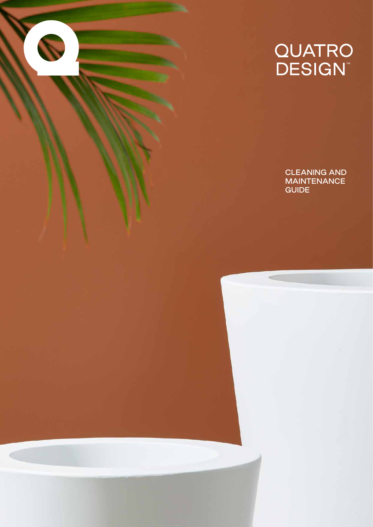# QUATRO<br>DESIGN™

CLEANING AND **MAINTENANCE** GUIDE

é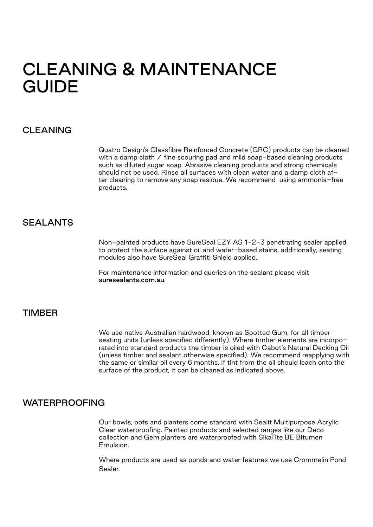## CLEANING & MAINTENANCE GUIDE

#### CLEANING

Quatro Design's Glassfibre Reinforced Concrete (GRC) products can be cleaned with a damp cloth / fine scouring pad and mild soap-based cleaning products such as diluted sugar soap. Abrasive cleaning products and strong chemicals should not be used. Rinse all surfaces with clean water and a damp cloth after cleaning to remove any soap residue. We recommend using ammonia-free products.

#### SEALANTS

Non-painted products have SureSeal EZY AS 1-2-3 penetrating sealer applied to protect the surface against oil and water-based stains, additionally, seating modules also have SureSeal Graffiti Shield applied.

For maintenance information and queries on the sealant please visit suresealants.com.au.

#### TIMBER

We use native Australian hardwood, known as Spotted Gum, for all timber seating units (unless specified differently). Where timber elements are incorporated into standard products the timber is oiled with Cabot's Natural Decking Oil (unless timber and sealant otherwise specified). We recommend reapplying with the same or similar oil every 6 months. If tint from the oil should leach onto the surface of the product, it can be cleaned as indicated above.

#### WATERPROOFING

Our bowls, pots and planters come standard with Sealit Multipurpose Acrylic Clear waterproofing. Painted products and selected ranges like our Deco collection and Gem planters are waterproofed with SikaTite BE Bitumen Emulsion.

Where products are used as ponds and water features we use Crommelin Pond Sealer.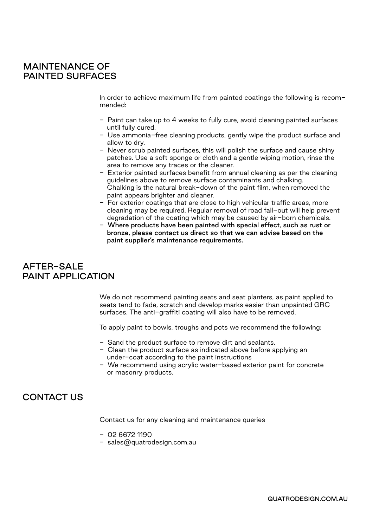#### MAINTENANCE OF PAINTED SURFACES

In order to achieve maximum life from painted coatings the following is recommended:

- Paint can take up to 4 weeks to fully cure, avoid cleaning painted surfaces until fully cured.
- Use ammonia-free cleaning products, gently wipe the product surface and allow to dry.
- Never scrub painted surfaces, this will polish the surface and cause shiny patches. Use a soft sponge or cloth and a gentle wiping motion, rinse the area to remove any traces or the cleaner.
- Exterior painted surfaces benefit from annual cleaning as per the cleaning guidelines above to remove surface contaminants and chalking. Chalking is the natural break-down of the paint film, when removed the paint appears brighter and cleaner.
- For exterior coatings that are close to high vehicular traffic areas, more cleaning may be required. Regular removal of road fall-out will help prevent degradation of the coating which may be caused by air-born chemicals.
- Where products have been painted with special effect, such as rust or bronze, please contact us direct so that we can advise based on the paint supplier's maintenance requirements.

#### AFTER-SALE PAINT APPI ICATION

We do not recommend painting seats and seat planters, as paint applied to seats tend to fade, scratch and develop marks easier than unpainted GRC surfaces. The anti-graffiti coating will also have to be removed.

To apply paint to bowls, troughs and pots we recommend the following:

- Sand the product surface to remove dirt and sealants.
- Clean the product surface as indicated above before applying an under-coat according to the paint instructions
- We recommend using acrylic water-based exterior paint for concrete or masonry products.

#### CONTACT US

Contact us for any cleaning and maintenance queries

- 02 6672 1190
- sales@quatrodesign.com.au